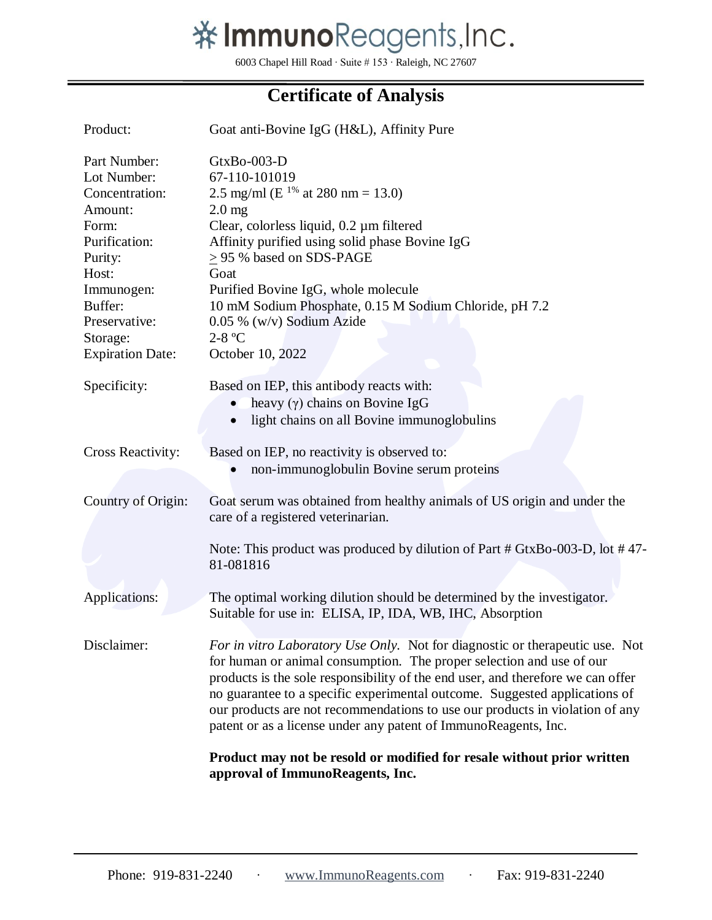

6003 Chapel Hill Road ∙ Suite # 153 ∙ Raleigh, NC 27607

## **Certificate of Analysis**

| Product:                                                                                                                                                                                | Goat anti-Bovine IgG (H&L), Affinity Pure                                                                                                                                                                                                                                                                                                                                                                                                                                |  |  |  |
|-----------------------------------------------------------------------------------------------------------------------------------------------------------------------------------------|--------------------------------------------------------------------------------------------------------------------------------------------------------------------------------------------------------------------------------------------------------------------------------------------------------------------------------------------------------------------------------------------------------------------------------------------------------------------------|--|--|--|
| Part Number:<br>Lot Number:<br>Concentration:<br>Amount:<br>Form:<br>Purification:<br>Purity:<br>Host:<br>Immunogen:<br>Buffer:<br>Preservative:<br>Storage:<br><b>Expiration Date:</b> | GtxBo-003-D<br>67-110-101019<br>2.5 mg/ml (E <sup>1%</sup> at 280 nm = 13.0)<br>$2.0$ mg<br>Clear, colorless liquid, 0.2 µm filtered<br>Affinity purified using solid phase Bovine IgG<br>$\geq$ 95 % based on SDS-PAGE<br>Goat<br>Purified Bovine IgG, whole molecule<br>10 mM Sodium Phosphate, 0.15 M Sodium Chloride, pH 7.2<br>0.05 % (w/v) Sodium Azide<br>$2-8$ °C<br>October 10, 2022                                                                            |  |  |  |
| Specificity:                                                                                                                                                                            | Based on IEP, this antibody reacts with:<br>heavy $(\gamma)$ chains on Bovine IgG<br>light chains on all Bovine immunoglobulins<br>$\bullet$                                                                                                                                                                                                                                                                                                                             |  |  |  |
| <b>Cross Reactivity:</b>                                                                                                                                                                | Based on IEP, no reactivity is observed to:<br>non-immunoglobulin Bovine serum proteins                                                                                                                                                                                                                                                                                                                                                                                  |  |  |  |
| Country of Origin:                                                                                                                                                                      | Goat serum was obtained from healthy animals of US origin and under the<br>care of a registered veterinarian.<br>Note: This product was produced by dilution of Part # GtxBo-003-D, lot #47-<br>81-081816                                                                                                                                                                                                                                                                |  |  |  |
| Applications:                                                                                                                                                                           | The optimal working dilution should be determined by the investigator.<br>Suitable for use in: ELISA, IP, IDA, WB, IHC, Absorption                                                                                                                                                                                                                                                                                                                                       |  |  |  |
| Disclaimer:                                                                                                                                                                             | For in vitro Laboratory Use Only. Not for diagnostic or therapeutic use. Not<br>for human or animal consumption. The proper selection and use of our<br>products is the sole responsibility of the end user, and therefore we can offer<br>no guarantee to a specific experimental outcome. Suggested applications of<br>our products are not recommendations to use our products in violation of any<br>patent or as a license under any patent of ImmunoReagents, Inc. |  |  |  |
|                                                                                                                                                                                         | Product may not be resold or modified for resale without prior written<br>approval of ImmunoReagents, Inc.                                                                                                                                                                                                                                                                                                                                                               |  |  |  |